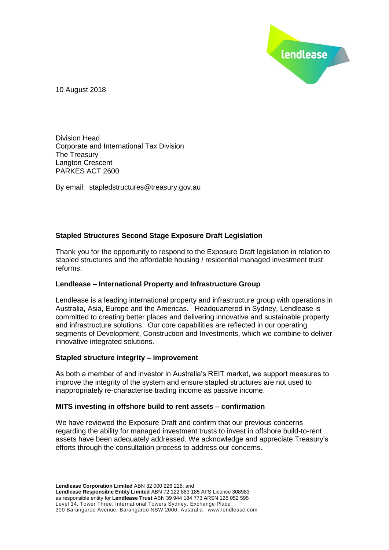

10 August 2018

Division Head Corporate and International Tax Division The Treasury Langton Crescent PARKES ACT 2600

By email: stapledstructures@treasury.gov.au

## **Stapled Structures Second Stage Exposure Draft Legislation**

Thank you for the opportunity to respond to the Exposure Draft legislation in relation to stapled structures and the affordable housing / residential managed investment trust reforms.

## **Lendlease – International Property and Infrastructure Group**

Lendlease is a leading international property and infrastructure group with operations in Australia, Asia, Europe and the Americas. Headquartered in Sydney, Lendlease is committed to creating better places and delivering innovative and sustainable property and infrastructure solutions. Our core capabilities are reflected in our operating segments of Development, Construction and Investments, which we combine to deliver innovative integrated solutions.

## **Stapled structure integrity – improvement**

As both a member of and investor in Australia's REIT market, we support measures to improve the integrity of the system and ensure stapled structures are not used to inappropriately re-characterise trading income as passive income.

#### **MITS investing in offshore build to rent assets – confirmation**

We have reviewed the Exposure Draft and confirm that our previous concerns regarding the ability for managed investment trusts to invest in offshore build-to-rent assets have been adequately addressed. We acknowledge and appreciate Treasury's efforts through the consultation process to address our concerns.